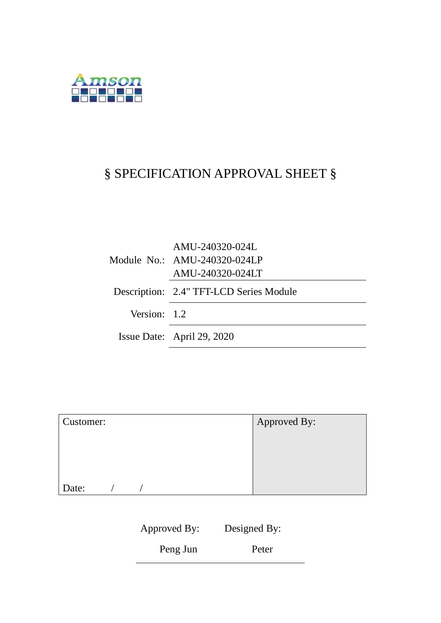

# § SPECIFICATION APPROVAL SHEET §

|              | AMU-240320-024L<br>Module No.: AMU-240320-024LP<br>AMU-240320-024LT |
|--------------|---------------------------------------------------------------------|
|              | Description: 2.4" TFT-LCD Series Module                             |
| Version: 1.2 |                                                                     |
|              | Issue Date: April 29, 2020                                          |

| Customer: | Approved By: |
|-----------|--------------|
|           |              |
|           |              |
|           |              |
| Date:     |              |

| Approved By: | Designed By: |  |
|--------------|--------------|--|
| Peng Jun     | Peter        |  |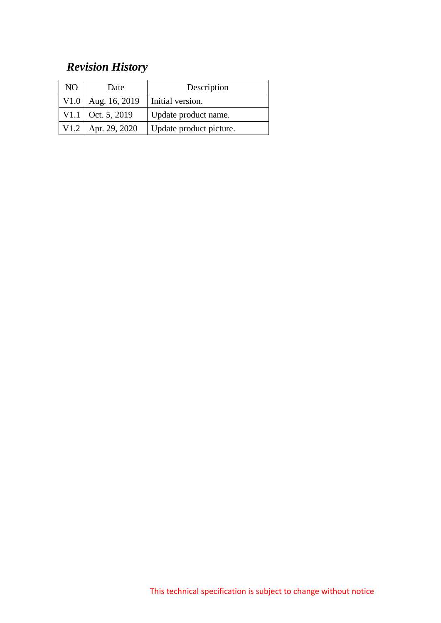# *Revision History*

| NO | Date                 | Description             |
|----|----------------------|-------------------------|
|    | V1.0   Aug. 16, 2019 | Initial version.        |
|    | V1.1 Oct. 5, 2019    | Update product name.    |
|    | V1.2   Apr. 29, 2020 | Update product picture. |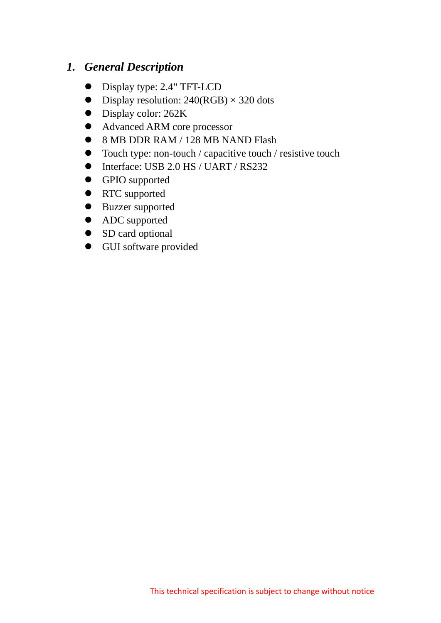### *1. General Description*

- Display type: 2.4" TFT-LCD
- $\bullet$  Display resolution: 240(RGB)  $\times$  320 dots
- Display color: 262K
- Advanced ARM core processor
- 8 MB DDR RAM / 128 MB NAND Flash
- Touch type: non-touch / capacitive touch / resistive touch
- Interface: USB 2.0 HS / UART / RS232
- GPIO supported
- RTC supported
- **•** Buzzer supported
- ADC supported
- SD card optional
- GUI software provided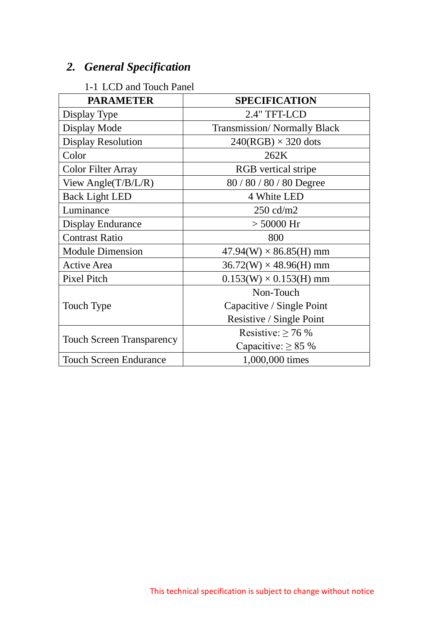# *2. General Specification*

#### 1-1 LCD and Touch Panel

| <b>PARAMETER</b>                 | <b>SPECIFICATION</b>               |
|----------------------------------|------------------------------------|
| Display Type                     | 2.4" TFT-LCD                       |
| Display Mode                     | <b>Transmission/Normally Black</b> |
| <b>Display Resolution</b>        | $240(RGB) \times 320$ dots         |
| Color                            | 262K                               |
| Color Filter Array               | <b>RGB</b> vertical stripe         |
| View Angle( $T/B/L/R$ )          | 80/80/80/80 Degree                 |
| <b>Back Light LED</b>            | 4 White LED                        |
| Luminance                        | 250 cd/m2                          |
| <b>Display Endurance</b>         | $> 50000$ Hr                       |
| <b>Contrast Ratio</b>            | 800                                |
| <b>Module Dimension</b>          | $47.94(W) \times 86.85(H)$ mm      |
| <b>Active Area</b>               | $36.72(W) \times 48.96(H)$ mm      |
| <b>Pixel Pitch</b>               | $0.153(W) \times 0.153(H)$ mm      |
|                                  | Non-Touch                          |
| Touch Type                       | Capacitive / Single Point          |
|                                  | Resistive / Single Point           |
|                                  | Resistive: $\geq 76$ %             |
| <b>Touch Screen Transparency</b> | Capacitive: $\geq 85$ %            |
| <b>Touch Screen Endurance</b>    | 1,000,000 times                    |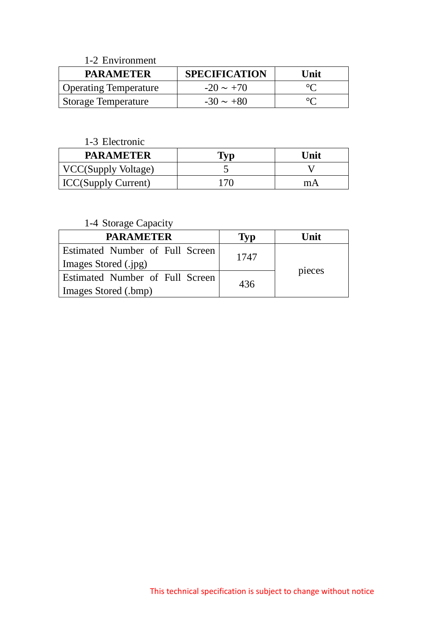| 1-2 Environment              |                      |                   |
|------------------------------|----------------------|-------------------|
| <b>PARAMETER</b>             | <b>SPECIFICATION</b> | Unit              |
| <b>Operating Temperature</b> | $-20 \sim +70$       |                   |
| <b>Storage Temperature</b>   | $-30 \sim +80$       | $\circ$ $\bullet$ |

#### 1-3 Electronic

| <b>PARAMETER</b>           |     | Unit |
|----------------------------|-----|------|
| <b>VCC(Supply Voltage)</b> |     |      |
| <b>ICC(Supply Current)</b> | 170 | mА   |

#### 1-4 Storage Capacity

| <b>PARAMETER</b>                       | <b>Typ</b> | Unit   |
|----------------------------------------|------------|--------|
| Estimated Number of Full Screen        | 1747       |        |
| Images Stored (.jpg)                   |            |        |
| <b>Estimated Number of Full Screen</b> | 436        | pieces |
| Images Stored (.bmp)                   |            |        |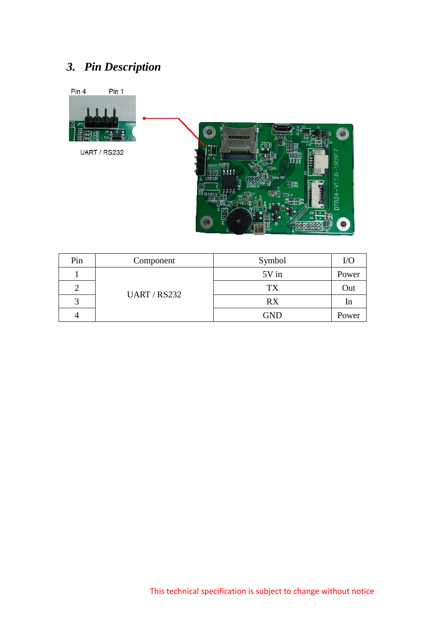# *3. Pin Description*



| Pin | Component           | Symbol     | I/O   |
|-----|---------------------|------------|-------|
|     | <b>UART / RS232</b> | 5V in      | Power |
|     |                     | <b>TX</b>  | Out   |
| 2   |                     | <b>RX</b>  | In    |
| 4   |                     | <b>GND</b> | Power |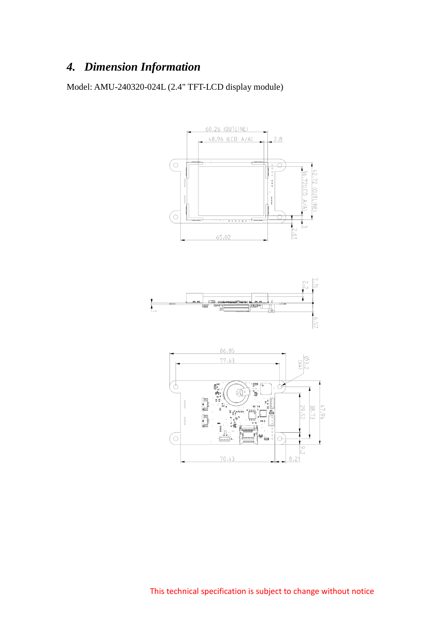# *4. Dimension Information*

Model: AMU-240320-024L (2.4" TFT-LCD display module)

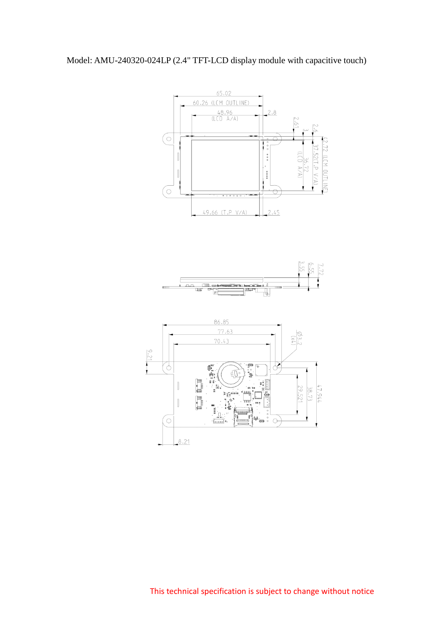### Model: AMU-240320-024LP (2.4" TFT-LCD display module with capacitive touch)

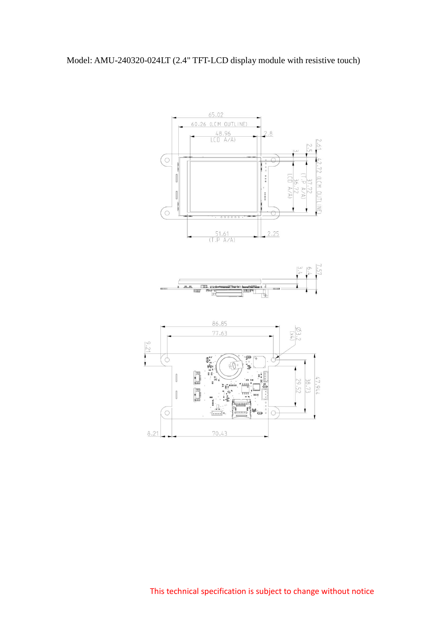

This technical specification is subject to change without notice